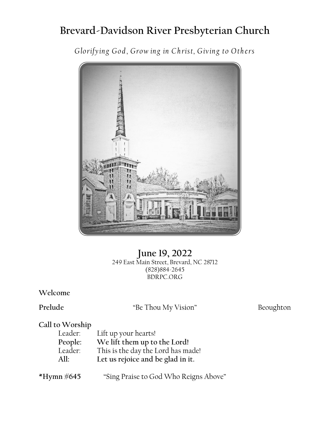# **Brevard-Davidson River Presbyterian Church**

*Glorifyin g God , Grow in g in Ch rist, Givin g to Oth ers*



**June 19, 2022** 249 East Main Street, Brevard, NC 28712 (828)884-2645 BDRPC.ORG

## **Welcome**

Prelude "Be Thou My Vision" Beoughton

## **Call to Worship**

| Leader: | Lift up your hearts!               |
|---------|------------------------------------|
| People: | We lift them up to the Lord!       |
| Leader: | This is the day the Lord has made! |
| All:    | Let us rejoice and be glad in it.  |
|         |                                    |

**\*Hymn #645** "Sing Praise to God Who Reigns Above"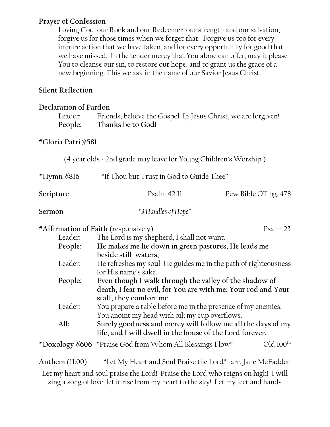### **Prayer of Confession**

Loving God, our Rock and our Redeemer, our strength and our salvation, forgive us for those times when we forget that. Forgive us too for every impure action that we have taken, and for every opportunity for good that we have missed. In the tender mercy that You alone can offer, may it please You to cleanse our sin, to restore our hope, and to grant us the grace of a new beginning. This we ask in the name of our Savior Jesus Christ.

## **Silent Reflection**

#### **Declaration of Pardon**

Leader: Friends, believe the Gospel. In Jesus Christ, we are forgiven! **People: Thanks be to God!**

### **\*Gloria Patri #581**

(4 year olds - 2nd grade may leave for Young Children's Worship.)

**\*Hymn #816** "If Thou but Trust in God to Guide Thee"

| Scripture | Psalm 42:11                                                     | Pew Bible OT pg. 478 |
|-----------|-----------------------------------------------------------------|----------------------|
| Sermon    | "3 Handles of Hope"                                             |                      |
|           | *Affirmation of Faith (responsively)                            | Psalm 23             |
| Leader:   | The Lord is my shepherd, I shall not want.                      |                      |
| People:   | He makes me lie down in green pastures, He leads me             |                      |
|           | beside still waters,                                            |                      |
| Leader:   | He refreshes my soul. He guides me in the path of righteousness |                      |
|           | for His name's sake.                                            |                      |
| People:   | Even though I walk through the valley of the shadow of          |                      |
|           | death, I fear no evil, for You are with me; Your rod and Your   |                      |
|           | staff, they comfort me.                                         |                      |
| Leader:   | You prepare a table before me in the presence of my enemies.    |                      |
|           | You anoint my head with oil; my cup overflows.                  |                      |
| All:      | Surely goodness and mercy will follow me all the days of my     |                      |
|           | life, and I will dwell in the house of the Lord forever.        |                      |
|           |                                                                 |                      |

\*Doxology #606 "Praise God from Whom All Blessings Flow" Old  $100^{\text{th}}$ 

**Anthem** (11:00) "Let My Heart and Soul Praise the Lord" arr. Jane McFadden

Let my heart and soul praise the Lord! Praise the Lord who reigns on high! I will sing a song of love; let it rise from my heart to the sky! Let my feet and hands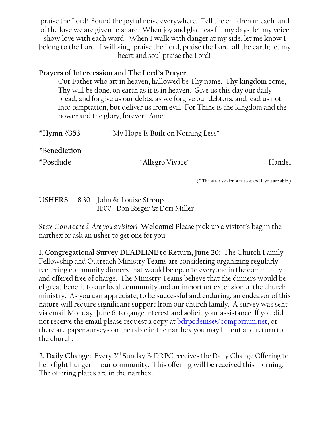praise the Lord! Sound the joyful noise everywhere. Tell the children in each land of the love we are given to share. When joy and gladness fill my days, let my voice show love with each word. When I walk with danger at my side, let me know I belong to the Lord. I will sing, praise the Lord, praise the Lord, all the earth; let my heart and soul praise the Lord!

## **Prayers of Intercession and The Lord's Prayer**

Our Father who art in heaven, hallowed be Thy name. Thy kingdom come, Thy will be done, on earth as it is in heaven. Give us this day our daily bread; and forgive us our debts, as we forgive our debtors; and lead us not into temptation, but deliver us from evil. For Thine is the kingdom and the power and the glory, forever. Amen.

| *Hymn $\#353$             | "My Hope Is Built on Nothing Less" |                                                    |
|---------------------------|------------------------------------|----------------------------------------------------|
| *Benediction<br>*Postlude | "Allegro Vivace"                   | Handel                                             |
|                           |                                    | (* The asterisk denotes to stand if you are able.) |
| <b>USHERS:</b>            | 8:30 John & Louise Stroup          |                                                    |

|  | $U$ SHERS: $\delta$ :30 JOHN & LOUISE STroup |  |
|--|----------------------------------------------|--|
|  | 11:00 Don Bieger & Dori Miller               |  |
|  |                                              |  |

*Stay Con n ecte d Are you a visitor?* **Welcome!** Please pick up a visitor's bag in the narthex or ask an usher to get one for you.

**1. Congregational Survey DEADLINE to Return, June 20:** The Church Family Fellowship and Outreach Ministry Teams are considering organizing regularly recurring community dinners that would be open to everyone in the community and offered free of charge. The Ministry Teams believe that the dinners would be of great benefit to our local community and an important extension of the church ministry. As you can appreciate, to be successful and enduring, an endeavor of this nature will require significant support from our church family. A survey was sent via email Monday, June 6 to gauge interest and solicit your assistance. If you did not receive the email please request a copy at [bdrpcdenise@comporium.net](mailto:bdrpcdenise@comporium.net.), or there are paper surveys on the table in the narthex you may fill out and return to the church.

**2. Daily Change:** Every 3rd Sunday B-DRPC receives the Daily Change Offering to help fight hunger in our community. This offering will be received this morning. The offering plates are in the narthex.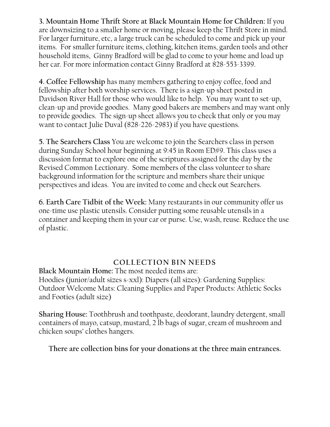**3. Mountain Home Thrift Store at Black Mountain Home for Children:** If you are downsizing to a smaller home or moving, please keep the Thrift Store in mind. For larger furniture, etc, a large truck can be scheduled to come and pick up your items. For smaller furniture items, clothing, kitchen items, garden tools and other household items, Ginny Bradford will be glad to come to your home and load up her car. For more information contact Ginny Bradford at 828-553-3399.

**4. Coffee Fellowship** has many members gathering to enjoy coffee, food and fellowship after both worship services. There is a sign-up sheet posted in Davidson River Hall for those who would like to help. You may want to set-up, clean-up and provide goodies. Many good bakers are members and may want only to provide goodies. The sign-up sheet allows you to check that only or you may want to contact Julie Duval (828-226-2983) if you have questions.

**5. The Searchers Class** You are welcome to join the Searchers class in person during Sunday School hour beginning at 9:45 in Room ED#9. This class uses a discussion format to explore one of the scriptures assigned for the day by the Revised Common Lectionary. Some members of the class volunteer to share background information for the scripture and members share their unique perspectives and ideas. You are invited to come and check out Searchers.

**6. Earth Care Tidbit of the Week:** Many restaurants in our community offer us one-time use plastic utensils. Consider putting some reusable utensils in a container and keeping them in your car or purse. Use, wash, reuse. Reduce the use of plastic.

## **COLLECTION BIN NEEDS**

**Black Mountain Home:** The most needed items are: Hoodies (junior/adult sizes s-xxl): Diapers (all sizes): Gardening Supplies: Outdoor Welcome Mats: Cleaning Supplies and Paper Products: Athletic Socks and Footies (adult size)

**Sharing House:** Toothbrush and toothpaste, deodorant, laundry detergent, small containers of mayo, catsup, mustard, 2 lb bags of sugar, cream of mushroom and chicken soups' clothes hangers.

**There are collection bins for your donations at the three main entrances.**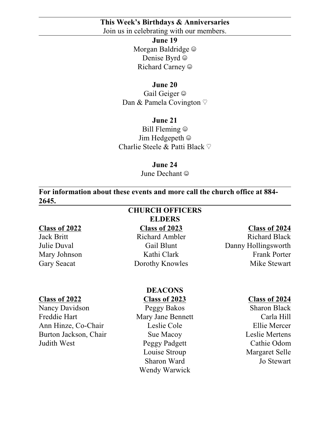#### **This Week's Birthdays & Anniversaries** Join us in celebrating with our members.

**June 19** Morgan Baldridge  $\odot$ Denise Byrd  $\odot$ Richard Carney  $\odot$ 

#### **June 20**

Gail Geiger  $\odot$ Dan & Pamela Covington  $\heartsuit$ 

**June 21** Bill Fleming  $\odot$ Jim Hedgepeth  $\odot$ Charlie Steele & Patti Black  $\heartsuit$ 

#### **June 24**

June Dechant  $\odot$ 

**For information about these events and more call the church office at 884- 2645.**

#### **Class of 2022**

Jack Britt Julie Duval Mary Johnson Gary Seacat

#### **Class of 2022**

Nancy Davidson Freddie Hart Ann Hinze, Co-Chair Burton Jackson, Chair Judith West

## **CHURCH OFFICERS ELDERS**

**Class of 2023** Richard Ambler Gail Blunt Kathi Clark Dorothy Knowles

#### **Class of 2024**

Richard Black Danny Hollingsworth Frank Porter Mike Stewart

#### **DEACONS**

**Class of 2023** Peggy Bakos Mary Jane Bennett Leslie Cole Sue Macoy Peggy Padgett Louise Stroup Sharon Ward Wendy Warwick

#### **Class of 2024**

Sharon Black Carla Hill Ellie Mercer Leslie Mertens Cathie Odom Margaret Selle Jo Stewart